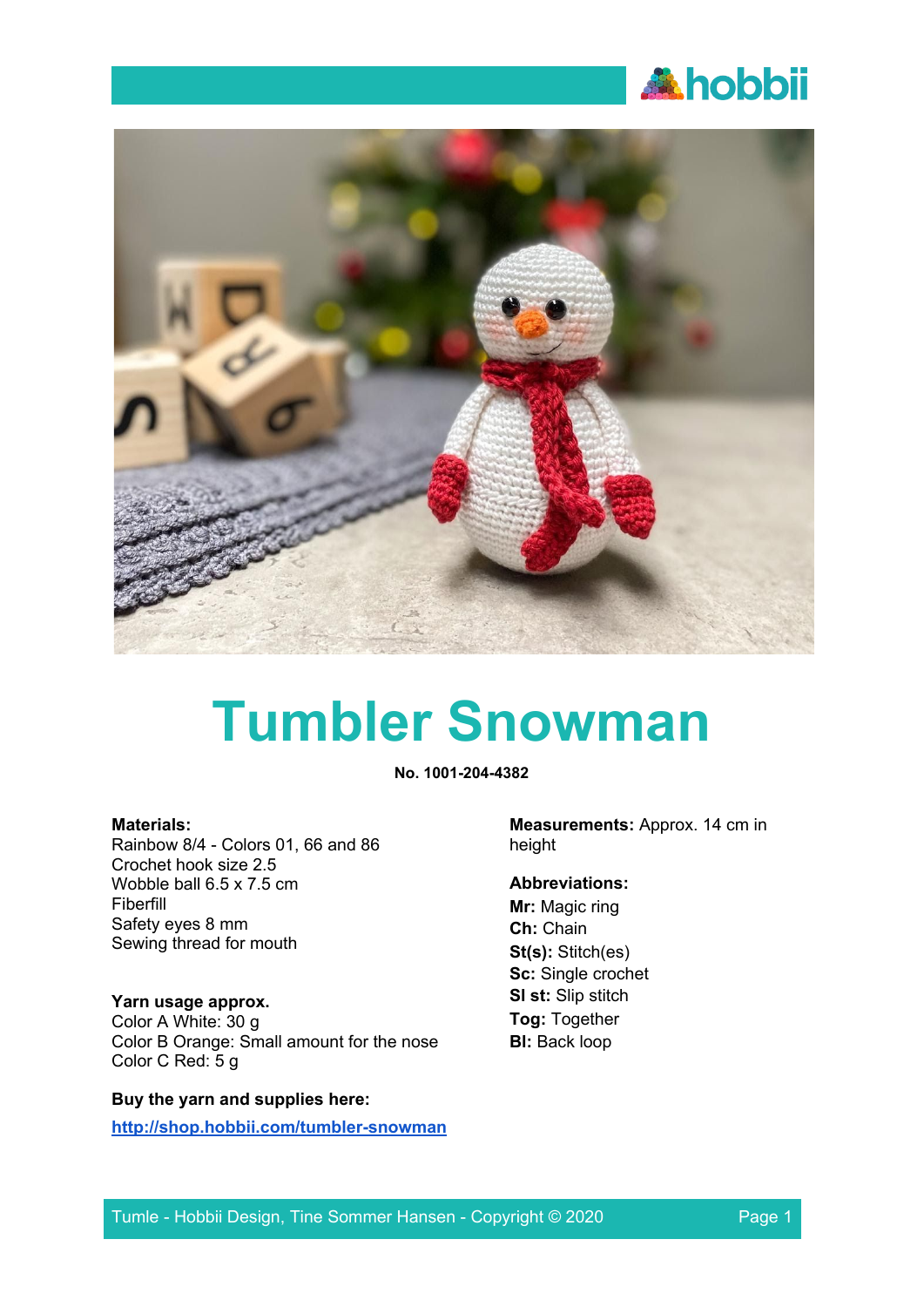



# **Tumbler Snowman**

**No. 1001-204-4382**

#### **Materials:**

Rainbow 8/4 - Colors 01, 66 and 86 Crochet hook size 2.5 Wobble ball 6.5 x 7.5 cm Fiberfill Safety eyes 8 mm Sewing thread for mouth

# **Yarn usage approx.**

Color A White: 30 g Color B Orange: Small amount for the nose Color C Red: 5 g

# **Buy the yarn and supplies here:**

**<http://shop.hobbii.com/tumbler-snowman>**

**Measurements:** Approx. 14 cm in height

# **Abbreviations:**

**Mr:** Magic ring **Ch:** Chain **St(s):** Stitch(es) **Sc:** Single crochet **Sl st:** Slip stitch **Tog:** Together **Bl:** Back loop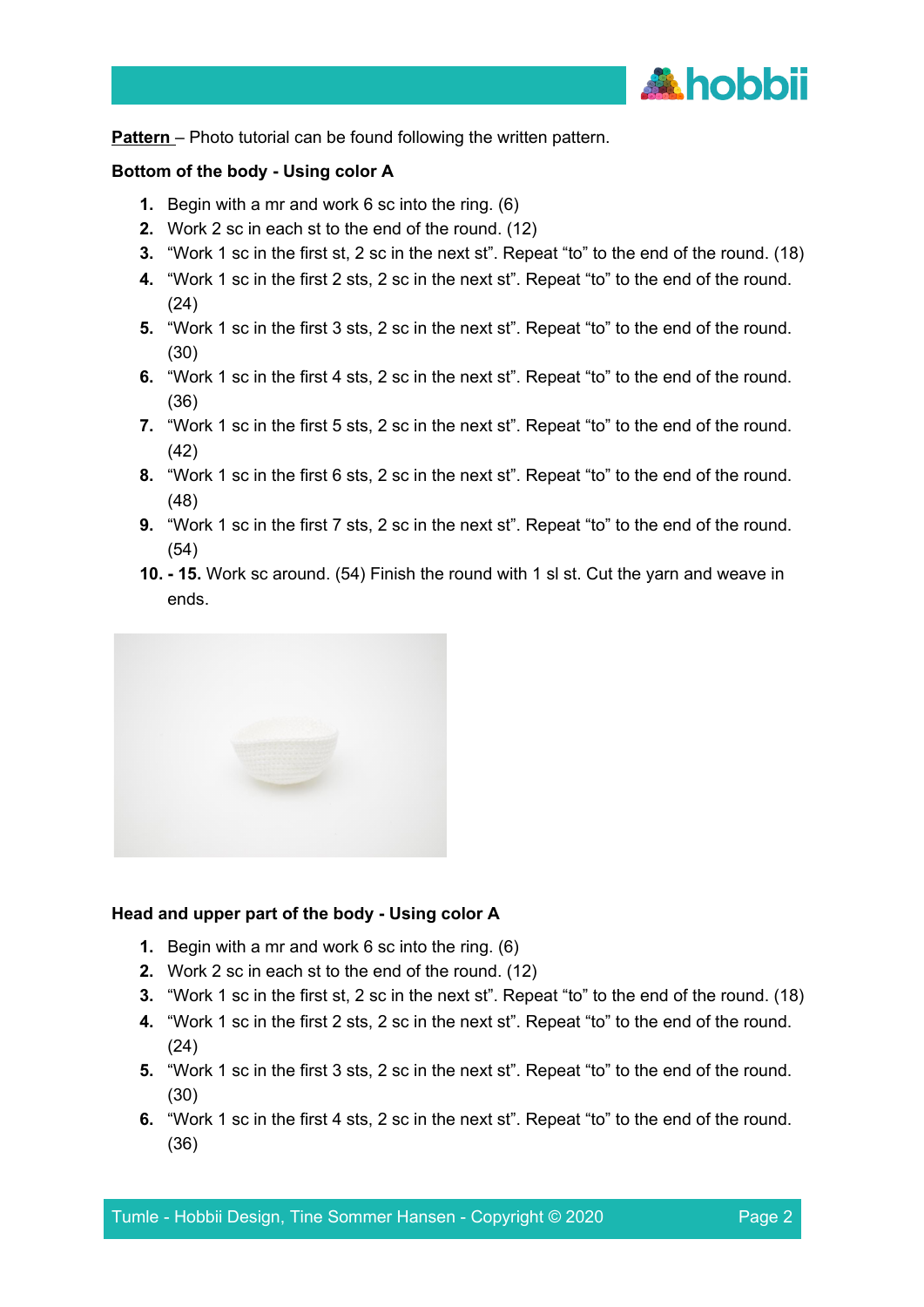

**Pattern** – Photo tutorial can be found following the written pattern.

#### **Bottom of the body - Using color A**

- **1.** Begin with a mr and work 6 sc into the ring. (6)
- **2.** Work 2 sc in each st to the end of the round. (12)
- **3.** "Work 1 sc in the first st, 2 sc in the next st". Repeat "to" to the end of the round. (18)
- **4.** "Work 1 sc in the first 2 sts, 2 sc in the next st". Repeat "to" to the end of the round. (24)
- **5.** "Work 1 sc in the first 3 sts, 2 sc in the next st". Repeat "to" to the end of the round. (30)
- **6.** "Work 1 sc in the first 4 sts, 2 sc in the next st". Repeat "to" to the end of the round. (36)
- **7.** "Work 1 sc in the first 5 sts, 2 sc in the next st". Repeat "to" to the end of the round. (42)
- **8.** "Work 1 sc in the first 6 sts, 2 sc in the next st". Repeat "to" to the end of the round. (48)
- **9.** "Work 1 sc in the first 7 sts, 2 sc in the next st". Repeat "to" to the end of the round. (54)
- **10. - 15.** Work sc around. (54) Finish the round with 1 sl st. Cut the yarn and weave in ends.



#### **Head and upper part of the body - Using color A**

- **1.** Begin with a mr and work 6 sc into the ring. (6)
- **2.** Work 2 sc in each st to the end of the round. (12)
- **3.** "Work 1 sc in the first st, 2 sc in the next st". Repeat "to" to the end of the round. (18)
- **4.** "Work 1 sc in the first 2 sts, 2 sc in the next st". Repeat "to" to the end of the round. (24)
- **5.** "Work 1 sc in the first 3 sts, 2 sc in the next st". Repeat "to" to the end of the round. (30)
- **6.** "Work 1 sc in the first 4 sts, 2 sc in the next st". Repeat "to" to the end of the round. (36)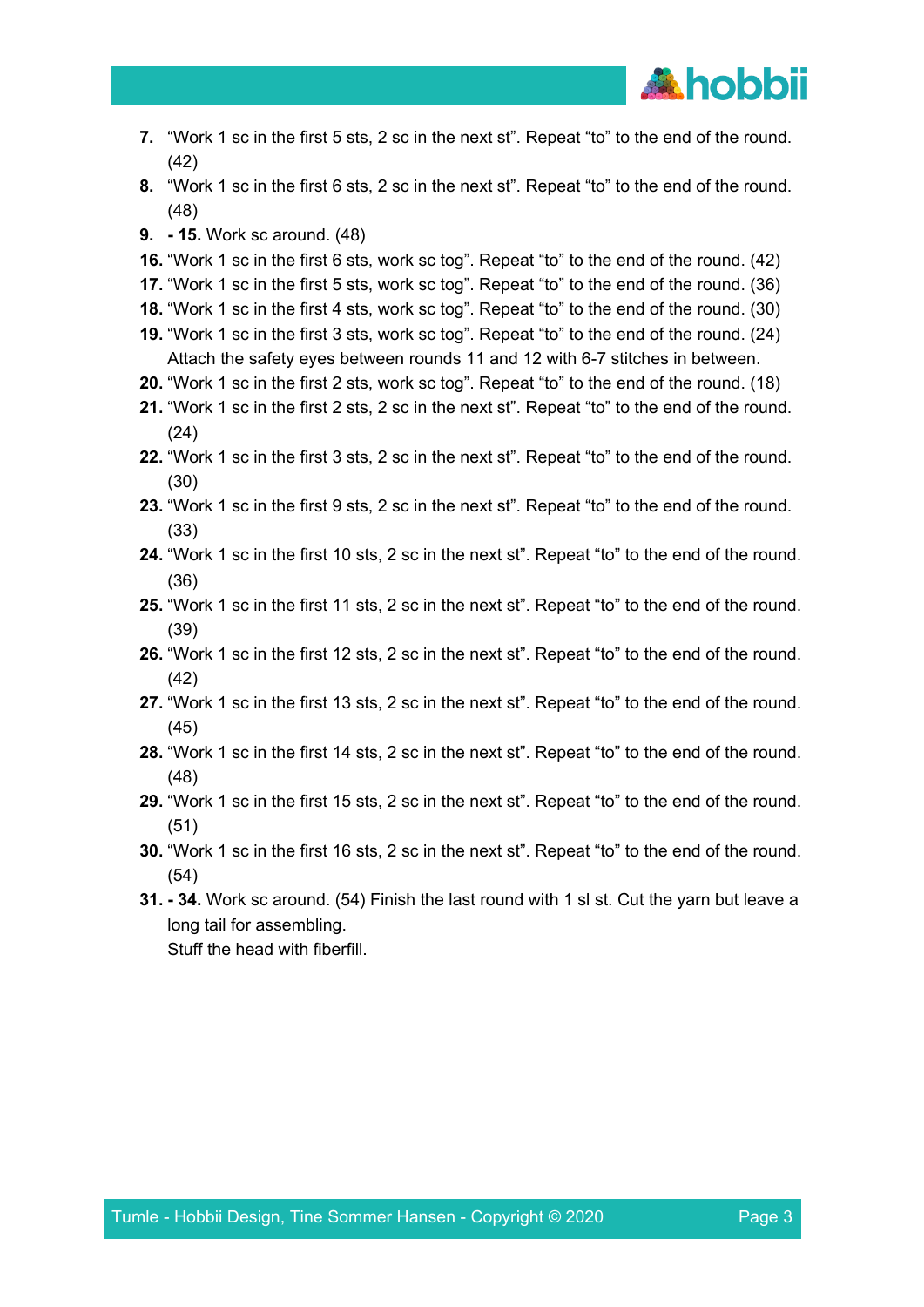

- **7.** "Work 1 sc in the first 5 sts, 2 sc in the next st". Repeat "to" to the end of the round. (42)
- **8.** "Work 1 sc in the first 6 sts, 2 sc in the next st". Repeat "to" to the end of the round. (48)
- **9. - 15.** Work sc around. (48)
- **16.** "Work 1 sc in the first 6 sts, work sc tog". Repeat "to" to the end of the round. (42)
- **17.** "Work 1 sc in the first 5 sts, work sc tog". Repeat "to" to the end of the round. (36)
- **18.** "Work 1 sc in the first 4 sts, work sc tog". Repeat "to" to the end of the round. (30)
- **19.** "Work 1 sc in the first 3 sts, work sc tog". Repeat "to" to the end of the round. (24) Attach the safety eyes between rounds 11 and 12 with 6-7 stitches in between.
- **20.** "Work 1 sc in the first 2 sts, work sc tog". Repeat "to" to the end of the round. (18)
- **21.** "Work 1 sc in the first 2 sts, 2 sc in the next st". Repeat "to" to the end of the round. (24)
- **22.** "Work 1 sc in the first 3 sts, 2 sc in the next st". Repeat "to" to the end of the round. (30)
- **23.** "Work 1 sc in the first 9 sts, 2 sc in the next st". Repeat "to" to the end of the round. (33)
- **24.** "Work 1 sc in the first 10 sts, 2 sc in the next st". Repeat "to" to the end of the round. (36)
- **25.** "Work 1 sc in the first 11 sts, 2 sc in the next st". Repeat "to" to the end of the round. (39)
- **26.** "Work 1 sc in the first 12 sts, 2 sc in the next st". Repeat "to" to the end of the round. (42)
- **27.** "Work 1 sc in the first 13 sts, 2 sc in the next st". Repeat "to" to the end of the round. (45)
- **28.** "Work 1 sc in the first 14 sts, 2 sc in the next st". Repeat "to" to the end of the round. (48)
- **29.** "Work 1 sc in the first 15 sts, 2 sc in the next st". Repeat "to" to the end of the round. (51)
- **30.** "Work 1 sc in the first 16 sts, 2 sc in the next st". Repeat "to" to the end of the round. (54)
- **31. - 34.** Work sc around. (54) Finish the last round with 1 sl st. Cut the yarn but leave a long tail for assembling. Stuff the head with fiberfill.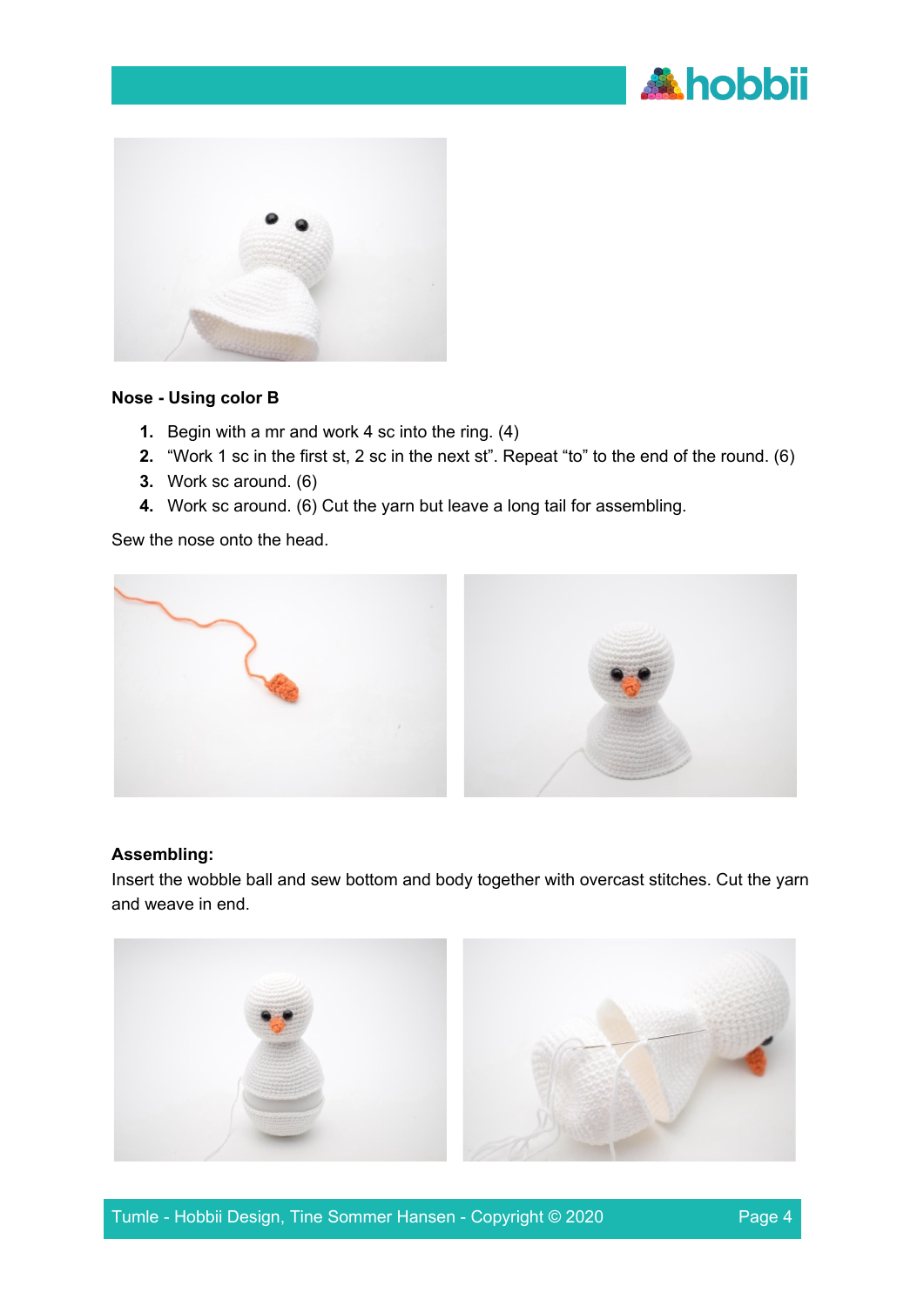



#### **Nose - Using color B**

- **1.** Begin with a mr and work 4 sc into the ring. (4)
- **2.** "Work 1 sc in the first st, 2 sc in the next st". Repeat "to" to the end of the round. (6)
- **3.** Work sc around. (6)
- **4.** Work sc around. (6) Cut the yarn but leave a long tail for assembling.

Sew the nose onto the head.



#### **Assembling:**

Insert the wobble ball and sew bottom and body together with overcast stitches. Cut the yarn and weave in end.

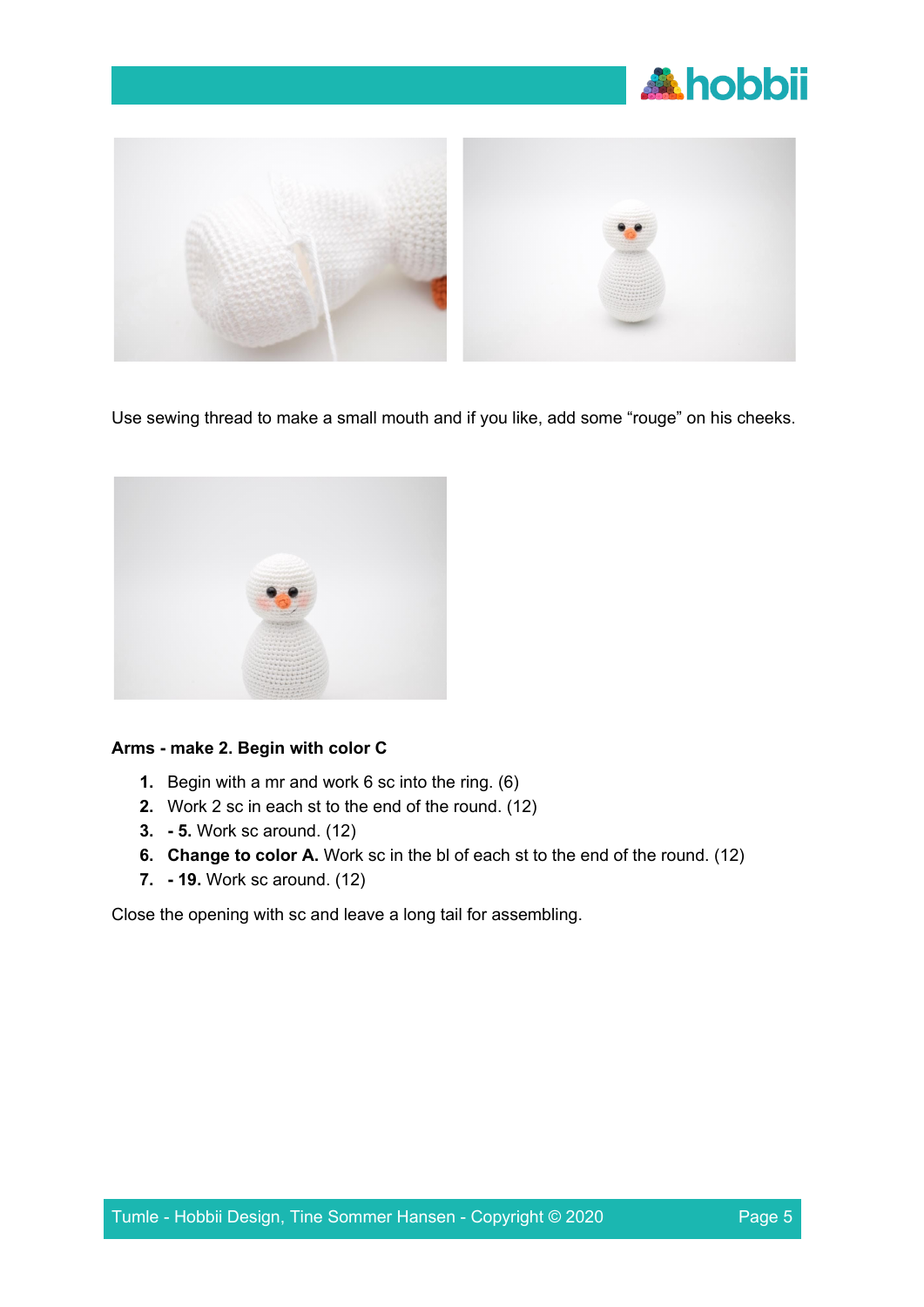



Use sewing thread to make a small mouth and if you like, add some "rouge" on his cheeks.



# **Arms - make 2. Begin with color C**

- **1.** Begin with a mr and work 6 sc into the ring. (6)
- **2.** Work 2 sc in each st to the end of the round. (12)
- **3. - 5.** Work sc around. (12)
- **6. Change to color A.** Work sc in the bl of each st to the end of the round. (12)
- **7. - 19.** Work sc around. (12)

Close the opening with sc and leave a long tail for assembling.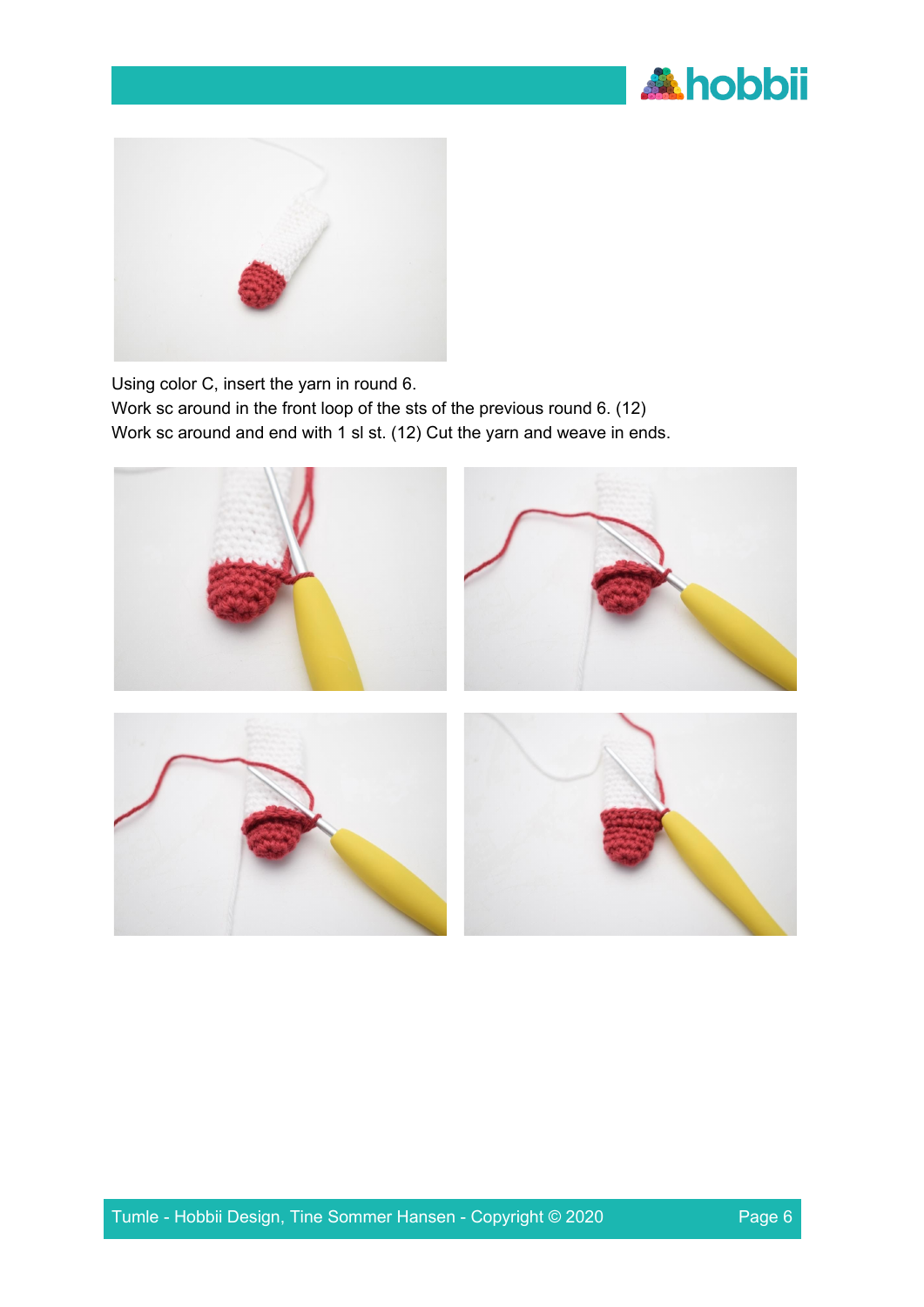



Using color C, insert the yarn in round 6.

Work sc around in the front loop of the sts of the previous round 6. (12) Work sc around and end with 1 sl st. (12) Cut the yarn and weave in ends.